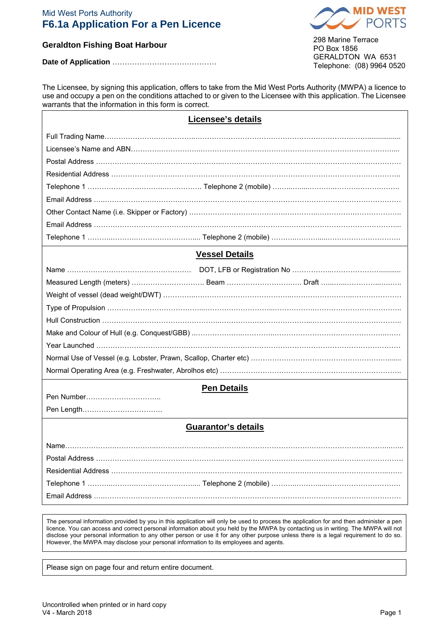## Mid West Ports Authority **F6.1a Application For a Pen Licence**



# **Geraldton Fishing Boat Harbour**

**Date of Application** ……………………………………

298 Marine Terrace PO Box 1856 GERALDTON WA 6531 Telephone: (08) 9964 0520

| use and occupy a pen on the conditions attached to or given to the Licensee with this application. The Licensee<br>warrants that the information in this form is correct. |  |  |
|---------------------------------------------------------------------------------------------------------------------------------------------------------------------------|--|--|
| <b>Licensee's details</b>                                                                                                                                                 |  |  |
|                                                                                                                                                                           |  |  |
|                                                                                                                                                                           |  |  |
|                                                                                                                                                                           |  |  |
|                                                                                                                                                                           |  |  |
|                                                                                                                                                                           |  |  |
|                                                                                                                                                                           |  |  |
|                                                                                                                                                                           |  |  |
|                                                                                                                                                                           |  |  |
|                                                                                                                                                                           |  |  |
| <b>Vessel Details</b>                                                                                                                                                     |  |  |
|                                                                                                                                                                           |  |  |
|                                                                                                                                                                           |  |  |
|                                                                                                                                                                           |  |  |
|                                                                                                                                                                           |  |  |
|                                                                                                                                                                           |  |  |
|                                                                                                                                                                           |  |  |
|                                                                                                                                                                           |  |  |
|                                                                                                                                                                           |  |  |
|                                                                                                                                                                           |  |  |
| <b>Pen Details</b>                                                                                                                                                        |  |  |
| Pen Number                                                                                                                                                                |  |  |
|                                                                                                                                                                           |  |  |
| Guarantor's details                                                                                                                                                       |  |  |
| Name                                                                                                                                                                      |  |  |
|                                                                                                                                                                           |  |  |
|                                                                                                                                                                           |  |  |
|                                                                                                                                                                           |  |  |
|                                                                                                                                                                           |  |  |
|                                                                                                                                                                           |  |  |

The Licensee, by signing this application, offers to take from the Mid West Ports Authority (MWPA) a licence to

The personal information provided by you in this application will only be used to process the application for and then administer a pen licence. You can access and correct personal information about you held by the MWPA by contacting us in writing. The MWPA will not disclose your personal information to any other person or use it for any other purpose unless there is a legal requirement to do so. However, the MWPA may disclose your personal information to its employees and agents.

Please sign on page four and return entire document.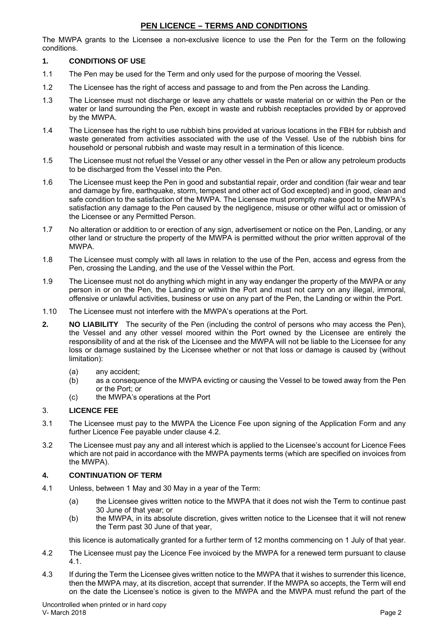## **PEN LICENCE – TERMS AND CONDITIONS**

The MWPA grants to the Licensee a non-exclusive licence to use the Pen for the Term on the following conditions.

## **1. CONDITIONS OF USE**

- 1.1 The Pen may be used for the Term and only used for the purpose of mooring the Vessel.
- 1.2 The Licensee has the right of access and passage to and from the Pen across the Landing.
- 1.3 The Licensee must not discharge or leave any chattels or waste material on or within the Pen or the water or land surrounding the Pen, except in waste and rubbish receptacles provided by or approved by the MWPA.
- 1.4 The Licensee has the right to use rubbish bins provided at various locations in the FBH for rubbish and waste generated from activities associated with the use of the Vessel. Use of the rubbish bins for household or personal rubbish and waste may result in a termination of this licence.
- 1.5 The Licensee must not refuel the Vessel or any other vessel in the Pen or allow any petroleum products to be discharged from the Vessel into the Pen.
- 1.6 The Licensee must keep the Pen in good and substantial repair, order and condition (fair wear and tear and damage by fire, earthquake, storm, tempest and other act of God excepted) and in good, clean and safe condition to the satisfaction of the MWPA. The Licensee must promptly make good to the MWPA's satisfaction any damage to the Pen caused by the negligence, misuse or other wilful act or omission of the Licensee or any Permitted Person.
- 1.7 No alteration or addition to or erection of any sign, advertisement or notice on the Pen, Landing, or any other land or structure the property of the MWPA is permitted without the prior written approval of the MWPA.
- 1.8 The Licensee must comply with all laws in relation to the use of the Pen, access and egress from the Pen, crossing the Landing, and the use of the Vessel within the Port.
- 1.9 The Licensee must not do anything which might in any way endanger the property of the MWPA or any person in or on the Pen, the Landing or within the Port and must not carry on any illegal, immoral, offensive or unlawful activities, business or use on any part of the Pen, the Landing or within the Port.
- 1.10 The Licensee must not interfere with the MWPA's operations at the Port.
- **2. NO LIABILITY** The security of the Pen (including the control of persons who may access the Pen), the Vessel and any other vessel moored within the Port owned by the Licensee are entirely the responsibility of and at the risk of the Licensee and the MWPA will not be liable to the Licensee for any loss or damage sustained by the Licensee whether or not that loss or damage is caused by (without limitation):
	- (a) any accident;
	- (b) as a consequence of the MWPA evicting or causing the Vessel to be towed away from the Pen or the Port; or
	- (c) the MWPA's operations at the Port

## 3. **LICENCE FEE**

- 3.1 The Licensee must pay to the MWPA the Licence Fee upon signing of the Application Form and any further Licence Fee payable under clause 4.2.
- 3.2 The Licensee must pay any and all interest which is applied to the Licensee's account for Licence Fees which are not paid in accordance with the MWPA payments terms (which are specified on invoices from the MWPA).

### **4. CONTINUATION OF TERM**

- 4.1 Unless, between 1 May and 30 May in a year of the Term:
	- (a) the Licensee gives written notice to the MWPA that it does not wish the Term to continue past 30 June of that year; or
	- (b) the MWPA, in its absolute discretion, gives written notice to the Licensee that it will not renew the Term past 30 June of that year,

this licence is automatically granted for a further term of 12 months commencing on 1 July of that year.

- 4.2 The Licensee must pay the Licence Fee invoiced by the MWPA for a renewed term pursuant to clause 4.1.
- 4.3 If during the Term the Licensee gives written notice to the MWPA that it wishes to surrender this licence, then the MWPA may, at its discretion, accept that surrender. If the MWPA so accepts, the Term will end on the date the Licensee's notice is given to the MWPA and the MWPA must refund the part of the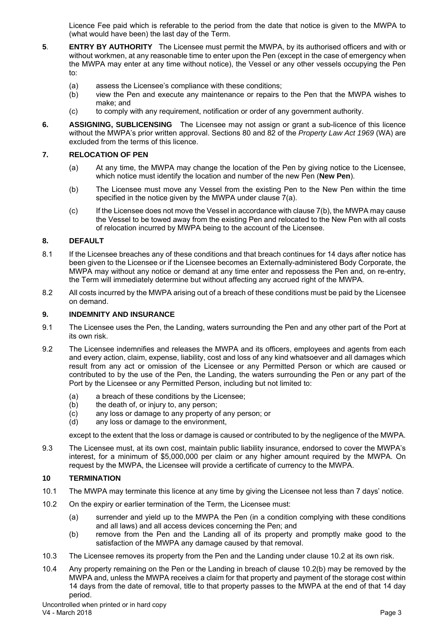Licence Fee paid which is referable to the period from the date that notice is given to the MWPA to (what would have been) the last day of the Term.

- **5**. **ENTRY BY AUTHORITY** The Licensee must permit the MWPA, by its authorised officers and with or without workmen, at any reasonable time to enter upon the Pen (except in the case of emergency when the MWPA may enter at any time without notice), the Vessel or any other vessels occupying the Pen to:
	- (a) assess the Licensee's compliance with these conditions;
	- (b) view the Pen and execute any maintenance or repairs to the Pen that the MWPA wishes to make; and
	- (c) to comply with any requirement, notification or order of any government authority.
- **6. ASSIGNING, SUBLICENSING** The Licensee may not assign or grant a sub-licence of this licence without the MWPA's prior written approval. Sections 80 and 82 of the *Property Law Act 1969* (WA) are excluded from the terms of this licence.

## **7. RELOCATION OF PEN**

- (a) At any time, the MWPA may change the location of the Pen by giving notice to the Licensee, which notice must identify the location and number of the new Pen (**New Pen**).
- (b) The Licensee must move any Vessel from the existing Pen to the New Pen within the time specified in the notice given by the MWPA under clause 7(a).
- (c) If the Licensee does not move the Vessel in accordance with clause 7(b), the MWPA may cause the Vessel to be towed away from the existing Pen and relocated to the New Pen with all costs of relocation incurred by MWPA being to the account of the Licensee.

## **8. DEFAULT**

- 8.1 If the Licensee breaches any of these conditions and that breach continues for 14 days after notice has been given to the Licensee or if the Licensee becomes an Externally-administered Body Corporate, the MWPA may without any notice or demand at any time enter and repossess the Pen and, on re-entry, the Term will immediately determine but without affecting any accrued right of the MWPA.
- 8.2 All costs incurred by the MWPA arising out of a breach of these conditions must be paid by the Licensee on demand.

### **9. INDEMNITY AND INSURANCE**

- 9.1 The Licensee uses the Pen, the Landing, waters surrounding the Pen and any other part of the Port at its own risk.
- 9.2 The Licensee indemnifies and releases the MWPA and its officers, employees and agents from each and every action, claim, expense, liability, cost and loss of any kind whatsoever and all damages which result from any act or omission of the Licensee or any Permitted Person or which are caused or contributed to by the use of the Pen, the Landing, the waters surrounding the Pen or any part of the Port by the Licensee or any Permitted Person, including but not limited to:
	- (a) a breach of these conditions by the Licensee;
	- (b) the death of, or injury to, any person;
	- (c) any loss or damage to any property of any person; or
	- (d) any loss or damage to the environment,

except to the extent that the loss or damage is caused or contributed to by the negligence of the MWPA.

9.3 The Licensee must, at its own cost, maintain public liability insurance, endorsed to cover the MWPA's interest, for a minimum of \$5,000,000 per claim or any higher amount required by the MWPA. On request by the MWPA, the Licensee will provide a certificate of currency to the MWPA.

### **10 TERMINATION**

- 10.1 The MWPA may terminate this licence at any time by giving the Licensee not less than 7 days' notice.
- 10.2 On the expiry or earlier termination of the Term, the Licensee must:
	- (a) surrender and yield up to the MWPA the Pen (in a condition complying with these conditions and all laws) and all access devices concerning the Pen; and
	- (b) remove from the Pen and the Landing all of its property and promptly make good to the satisfaction of the MWPA any damage caused by that removal.
- 10.3 The Licensee removes its property from the Pen and the Landing under clause 10.2 at its own risk.
- 10.4 Any property remaining on the Pen or the Landing in breach of clause 10.2(b) may be removed by the MWPA and, unless the MWPA receives a claim for that property and payment of the storage cost within 14 days from the date of removal, title to that property passes to the MWPA at the end of that 14 day period.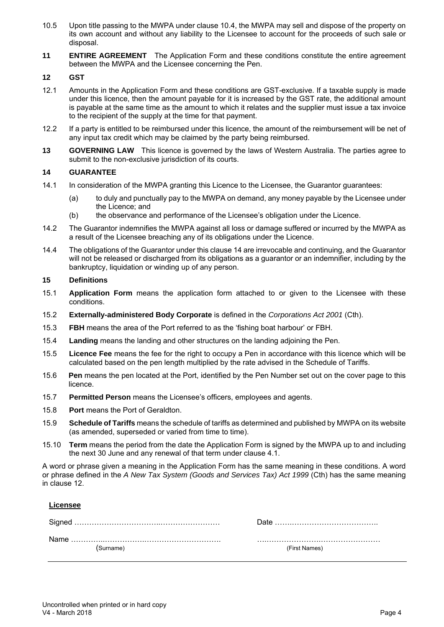- 10.5 Upon title passing to the MWPA under clause 10.4, the MWPA may sell and dispose of the property on its own account and without any liability to the Licensee to account for the proceeds of such sale or disposal.
- **11 ENTIRE AGREEMENT** The Application Form and these conditions constitute the entire agreement between the MWPA and the Licensee concerning the Pen.

### **12 GST**

- 12.1 Amounts in the Application Form and these conditions are GST-exclusive. If a taxable supply is made under this licence, then the amount payable for it is increased by the GST rate, the additional amount is payable at the same time as the amount to which it relates and the supplier must issue a tax invoice to the recipient of the supply at the time for that payment.
- 12.2 If a party is entitled to be reimbursed under this licence, the amount of the reimbursement will be net of any input tax credit which may be claimed by the party being reimbursed.
- **13 GOVERNING LAW** This licence is governed by the laws of Western Australia. The parties agree to submit to the non-exclusive jurisdiction of its courts.

## **14 GUARANTEE**

- 14.1 In consideration of the MWPA granting this Licence to the Licensee, the Guarantor guarantees:
	- (a) to duly and punctually pay to the MWPA on demand, any money payable by the Licensee under the Licence; and
	- (b) the observance and performance of the Licensee's obligation under the Licence.
- 14.2 The Guarantor indemnifies the MWPA against all loss or damage suffered or incurred by the MWPA as a result of the Licensee breaching any of its obligations under the Licence.
- 14.4 The obligations of the Guarantor under this clause 14 are irrevocable and continuing, and the Guarantor will not be released or discharged from its obligations as a guarantor or an indemnifier, including by the bankruptcy, liquidation or winding up of any person.

### **15 Definitions**

- 15.1 **Application Form** means the application form attached to or given to the Licensee with these conditions.
- 15.2 **Externally-administered Body Corporate** is defined in the *Corporations Act 2001* (Cth).
- 15.3 **FBH** means the area of the Port referred to as the 'fishing boat harbour' or FBH.
- 15.4 **Landing** means the landing and other structures on the landing adjoining the Pen.
- 15.5 **Licence Fee** means the fee for the right to occupy a Pen in accordance with this licence which will be calculated based on the pen length multiplied by the rate advised in the Schedule of Tariffs.
- 15.6 **Pen** means the pen located at the Port, identified by the Pen Number set out on the cover page to this licence.
- 15.7 **Permitted Person** means the Licensee's officers, employees and agents.
- 15.8 **Port** means the Port of Geraldton.
- 15.9 **Schedule of Tariffs** means the schedule of tariffs as determined and published by MWPA on its website (as amended, superseded or varied from time to time).
- 15.10 **Term** means the period from the date the Application Form is signed by the MWPA up to and including the next 30 June and any renewal of that term under clause 4.1.

A word or phrase given a meaning in the Application Form has the same meaning in these conditions. A word or phrase defined in the *A New Tax System (Goods and Services Tax) Act 1999* (Cth) has the same meaning in clause 12.

**Licensee** 

| (Surname) | (First Names) |
|-----------|---------------|